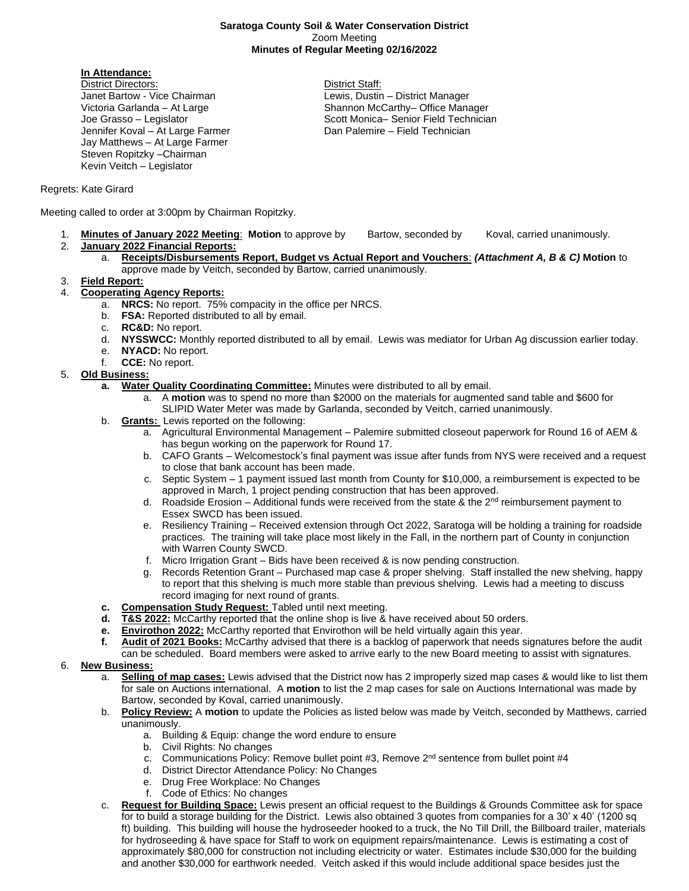#### **Saratoga County Soil & Water Conservation District** Zoom Meeting **Minutes of Regular Meeting 02/16/2022**

## **In Attendance:**

District Directors: District Staff: Janet Bartow - Vice Chairman Lewis, Dustin – District Manager Jennifer Koval – At Large Farmer **Dan Palemire – Field Technician** Jay Matthews – At Large Farmer Steven Ropitzky –Chairman Kevin Veitch – Legislator

Victoria Garlanda – At Large Shannon McCarthy– Office Manager Joe Grasso – Legislator North Scott Monica– Senior Field Technician

## Regrets: Kate Girard

Meeting called to order at 3:00pm by Chairman Ropitzky.

- 1. **Minutes of January 2022 Meeting**: **Motion** to approve by Bartow, seconded by Koval, carried unanimously.
- 2. **January 2022 Financial Reports:**
	- a. **Receipts/Disbursements Report, Budget vs Actual Report and Vouchers**: *(Attachment A, B & C)* **Motion** to approve made by Veitch, seconded by Bartow, carried unanimously.
- 3. **Field Report:**
- 4. **Cooperating Agency Reports:**
	- a. **NRCS:** No report. 75% compacity in the office per NRCS.
	- b. **FSA:** Reported distributed to all by email.
	- c. **RC&D:** No report.
	- d. **NYSSWCC:** Monthly reported distributed to all by email. Lewis was mediator for Urban Ag discussion earlier today.
	- e. **NYACD:** No report.
	- f. **CCE:** No report.

### 5. **Old Business:**

- **a. Water Quality Coordinating Committee:** Minutes were distributed to all by email.
	- a. A **motion** was to spend no more than \$2000 on the materials for augmented sand table and \$600 for SLIPID Water Meter was made by Garlanda, seconded by Veitch, carried unanimously.
- b. **Grants:** Lewis reported on the following:
	- a. Agricultural Environmental Management Palemire submitted closeout paperwork for Round 16 of AEM & has begun working on the paperwork for Round 17.
	- b. CAFO Grants Welcomestock's final payment was issue after funds from NYS were received and a request to close that bank account has been made.
	- c. Septic System 1 payment issued last month from County for \$10,000, a reimbursement is expected to be approved in March, 1 project pending construction that has been approved.
	- d. Roadside Erosion Additional funds were received from the state & the  $2<sup>nd</sup>$  reimbursement payment to Essex SWCD has been issued.
	- e. Resiliency Training Received extension through Oct 2022, Saratoga will be holding a training for roadside practices. The training will take place most likely in the Fall, in the northern part of County in conjunction with Warren County SWCD.
	- f. Micro Irrigation Grant Bids have been received & is now pending construction.
	- g. Records Retention Grant Purchased map case & proper shelving. Staff installed the new shelving, happy to report that this shelving is much more stable than previous shelving. Lewis had a meeting to discuss record imaging for next round of grants.
- **c. Compensation Study Request:** Tabled until next meeting.
- **d. T&S 2022:** McCarthy reported that the online shop is live & have received about 50 orders.
- **e. Envirothon 2022:** McCarthy reported that Envirothon will be held virtually again this year.
- **f. Audit of 2021 Books:** McCarthy advised that there is a backlog of paperwork that needs signatures before the audit can be scheduled. Board members were asked to arrive early to the new Board meeting to assist with signatures.

### 6. **New Business:**

- a. **Selling of map cases:** Lewis advised that the District now has 2 improperly sized map cases & would like to list them for sale on Auctions international. A **motion** to list the 2 map cases for sale on Auctions International was made by Bartow, seconded by Koval, carried unanimously.
- b. **Policy Review:** A **motion** to update the Policies as listed below was made by Veitch, seconded by Matthews, carried unanimously.
	- a. Building & Equip: change the word endure to ensure
	- b. Civil Rights: No changes
	- c. Communications Policy: Remove bullet point  $#3$ , Remove  $2<sup>nd</sup>$  sentence from bullet point  $#4$
	- d. District Director Attendance Policy: No Changes
	- e. Drug Free Workplace: No Changes
	- f. Code of Ethics: No changes
- c. **Request for Building Space:** Lewis present an official request to the Buildings & Grounds Committee ask for space for to build a storage building for the District. Lewis also obtained 3 quotes from companies for a 30' x 40' (1200 sq ft) building. This building will house the hydroseeder hooked to a truck, the No Till Drill, the Billboard trailer, materials for hydroseeding & have space for Staff to work on equipment repairs/maintenance. Lewis is estimating a cost of approximately \$80,000 for construction not including electricity or water. Estimates include \$30,000 for the building and another \$30,000 for earthwork needed. Veitch asked if this would include additional space besides just the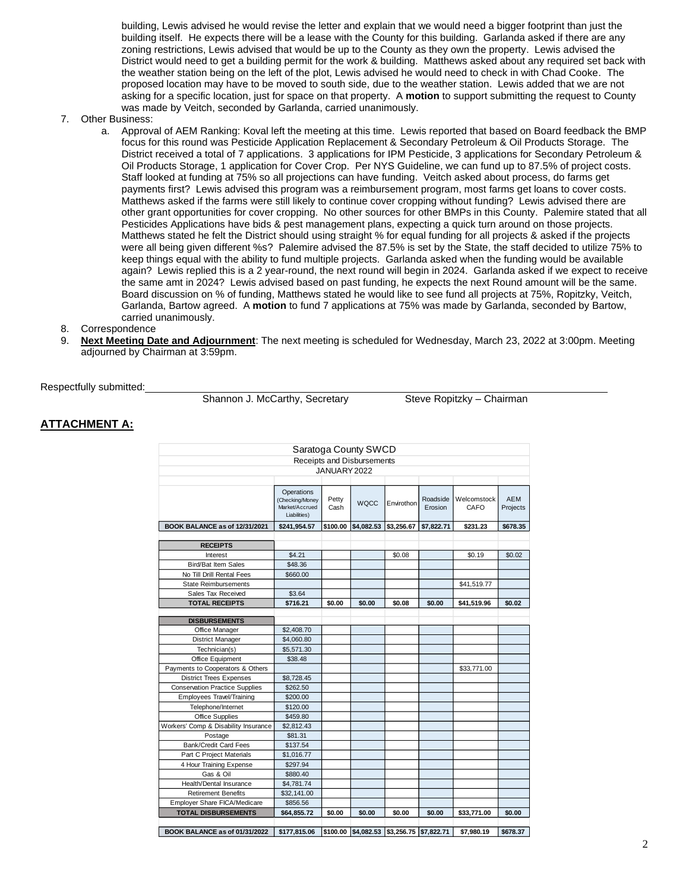building, Lewis advised he would revise the letter and explain that we would need a bigger footprint than just the building itself. He expects there will be a lease with the County for this building. Garlanda asked if there are any zoning restrictions, Lewis advised that would be up to the County as they own the property. Lewis advised the District would need to get a building permit for the work & building. Matthews asked about any required set back with the weather station being on the left of the plot, Lewis advised he would need to check in with Chad Cooke. The proposed location may have to be moved to south side, due to the weather station. Lewis added that we are not asking for a specific location, just for space on that property. A **motion** to support submitting the request to County was made by Veitch, seconded by Garlanda, carried unanimously.

#### 7. Other Business:

- a. Approval of AEM Ranking: Koval left the meeting at this time. Lewis reported that based on Board feedback the BMP focus for this round was Pesticide Application Replacement & Secondary Petroleum & Oil Products Storage. The District received a total of 7 applications. 3 applications for IPM Pesticide, 3 applications for Secondary Petroleum & Oil Products Storage, 1 application for Cover Crop. Per NYS Guideline, we can fund up to 87.5% of project costs. Staff looked at funding at 75% so all projections can have funding. Veitch asked about process, do farms get payments first? Lewis advised this program was a reimbursement program, most farms get loans to cover costs. Matthews asked if the farms were still likely to continue cover cropping without funding? Lewis advised there are other grant opportunities for cover cropping. No other sources for other BMPs in this County. Palemire stated that all Pesticides Applications have bids & pest management plans, expecting a quick turn around on those projects. Matthews stated he felt the District should using straight % for equal funding for all projects & asked if the projects were all being given different %s? Palemire advised the 87.5% is set by the State, the staff decided to utilize 75% to keep things equal with the ability to fund multiple projects. Garlanda asked when the funding would be available again? Lewis replied this is a 2 year-round, the next round will begin in 2024. Garlanda asked if we expect to receive the same amt in 2024? Lewis advised based on past funding, he expects the next Round amount will be the same. Board discussion on % of funding, Matthews stated he would like to see fund all projects at 75%, Ropitzky, Veitch, Garlanda, Bartow agreed. A **motion** to fund 7 applications at 75% was made by Garlanda, seconded by Bartow, carried unanimously.
- 8. Correspondence
- 9. **Next Meeting Date and Adjournment**: The next meeting is scheduled for Wednesday, March 23, 2022 at 3:00pm. Meeting adjourned by Chairman at 3:59pm.

Respectfully submitted:

Shannon J. McCarthy, Secretary Steve Ropitzky – Chairman

### **ATTACHMENT A:**

| Saratoga County SWCD                  |                                                                 |               |             |                                           |                     |                     |                        |
|---------------------------------------|-----------------------------------------------------------------|---------------|-------------|-------------------------------------------|---------------------|---------------------|------------------------|
| Receipts and Disbursements            |                                                                 |               |             |                                           |                     |                     |                        |
| JANUARY 2022                          |                                                                 |               |             |                                           |                     |                     |                        |
|                                       |                                                                 |               |             |                                           |                     |                     |                        |
|                                       | Operations<br>(Checking/Money<br>Market/Accrued<br>Liabilities) | Petty<br>Cash | <b>WQCC</b> | Envirothon                                | Roadside<br>Erosion | Welcomstock<br>CAFO | <b>AEM</b><br>Projects |
| BOOK BALANCE as of 12/31/2021         | \$241,954.57                                                    | \$100.00      | \$4,082.53  | \$3.256.67                                | \$7,822.71          | \$231.23            | \$678.35               |
|                                       |                                                                 |               |             |                                           |                     |                     |                        |
| <b>RECEIPTS</b>                       |                                                                 |               |             |                                           |                     |                     |                        |
| Interest                              | \$4.21                                                          |               |             | \$0.08                                    |                     | \$0.19              | \$0.02                 |
| <b>Bird/Bat Item Sales</b>            | \$48.36                                                         |               |             |                                           |                     |                     |                        |
| No Till Drill Rental Fees             | \$660.00                                                        |               |             |                                           |                     |                     |                        |
| <b>State Reimbursements</b>           |                                                                 |               |             |                                           |                     | \$41,519.77         |                        |
| Sales Tax Received                    | \$3.64                                                          |               |             |                                           |                     |                     |                        |
| <b>TOTAL RECEIPTS</b>                 | \$716.21                                                        | \$0.00        | \$0.00      | \$0.08                                    | \$0.00              | \$41,519.96         | \$0.02                 |
|                                       |                                                                 |               |             |                                           |                     |                     |                        |
| <b>DISBURSEMENTS</b>                  |                                                                 |               |             |                                           |                     |                     |                        |
| Office Manager                        | \$2,408.70                                                      |               |             |                                           |                     |                     |                        |
| <b>District Manager</b>               | \$4,060.80                                                      |               |             |                                           |                     |                     |                        |
| Technician(s)                         | \$5,571.30                                                      |               |             |                                           |                     |                     |                        |
| Office Equipment                      | \$38.48                                                         |               |             |                                           |                     |                     |                        |
| Payments to Cooperators & Others      |                                                                 |               |             |                                           |                     | \$33,771.00         |                        |
| <b>District Trees Expenses</b>        | \$8,728.45                                                      |               |             |                                           |                     |                     |                        |
| <b>Conservation Practice Supplies</b> | \$262.50                                                        |               |             |                                           |                     |                     |                        |
| Employees Travel/Training             | \$200.00                                                        |               |             |                                           |                     |                     |                        |
| Telephone/Internet                    | \$120.00                                                        |               |             |                                           |                     |                     |                        |
| Office Supplies                       | \$459.80                                                        |               |             |                                           |                     |                     |                        |
| Workers' Comp & Disability Insurance  | \$2,812.43                                                      |               |             |                                           |                     |                     |                        |
| Postage                               | \$81.31                                                         |               |             |                                           |                     |                     |                        |
| Bank/Credit Card Fees                 | \$137.54                                                        |               |             |                                           |                     |                     |                        |
| Part C Project Materials              | \$1,016.77                                                      |               |             |                                           |                     |                     |                        |
| 4 Hour Training Expense               | \$297.94                                                        |               |             |                                           |                     |                     |                        |
| Gas & Oil                             | \$880.40                                                        |               |             |                                           |                     |                     |                        |
| Health/Dental Insurance               | \$4,781.74                                                      |               |             |                                           |                     |                     |                        |
| <b>Retirement Benefits</b>            | \$32,141.00                                                     |               |             |                                           |                     |                     |                        |
| Employer Share FICA/Medicare          | \$856.56                                                        |               |             |                                           |                     |                     |                        |
| <b>TOTAL DISBURSEMENTS</b>            | \$64,855.72                                                     | \$0.00        | \$0.00      | \$0.00                                    | \$0.00              | \$33,771.00         | \$0.00                 |
|                                       |                                                                 |               |             |                                           |                     |                     |                        |
| BOOK BALANCE as of 01/31/2022         | \$177.815.06                                                    |               |             | \$100.00 \$4,082.53 \$3,256.75 \$7,822.71 |                     | \$7.980.19          | \$678.37               |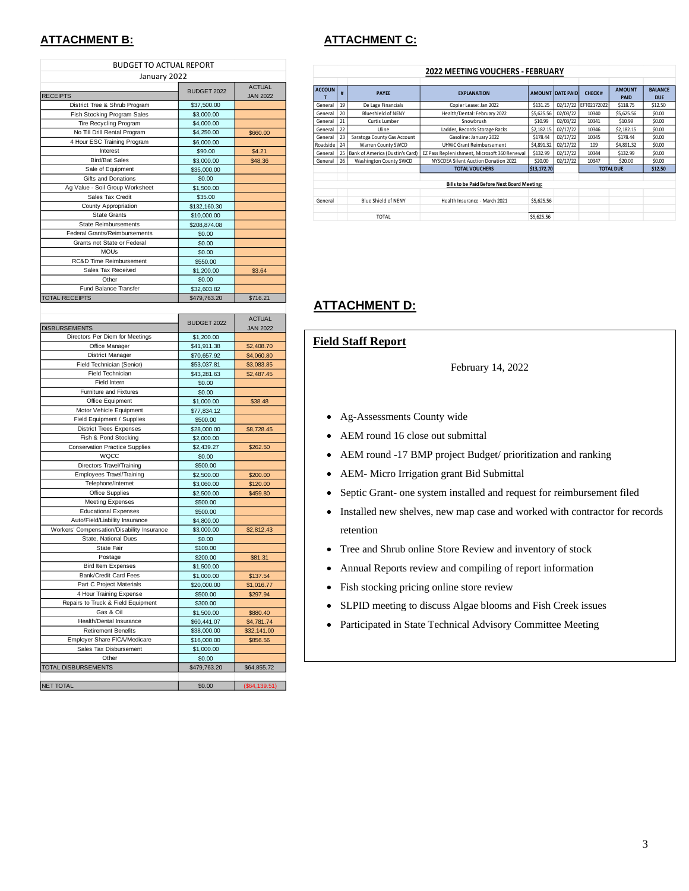## **ATTACHMENT B: ATTACHMENT C:**

| <b>BUDGET TO ACTUAL REPORT</b>                        |                           |                 |
|-------------------------------------------------------|---------------------------|-----------------|
| January 2022                                          |                           |                 |
|                                                       |                           | <b>ACTUAL</b>   |
| <b>RECEIPTS</b>                                       | <b>BUDGET 2022</b>        | <b>JAN 2022</b> |
| District Tree & Shrub Program                         | \$37,500.00               |                 |
| Fish Stocking Program Sales                           | \$3,000.00                |                 |
| Tire Recycling Program                                | \$4,000.00                |                 |
| No Till Drill Rental Program                          | \$4,250.00                | \$660.00        |
| 4 Hour ESC Training Program                           | \$6,000.00                |                 |
| Interest                                              | \$90.00                   | \$4.21          |
| <b>Bird/Bat Sales</b>                                 | \$3,000.00                | \$48.36         |
| Sale of Equipment                                     | \$35,000.00               |                 |
| Gifts and Donations                                   | \$0.00                    |                 |
| Ag Value - Soil Group Worksheet                       | \$1,500.00                |                 |
| Sales Tax Credit                                      | \$35.00                   |                 |
| County Appropriation                                  | \$132,160.30              |                 |
| <b>State Grants</b>                                   | \$10,000.00               |                 |
| <b>State Reimbursements</b>                           | \$208,874.08              |                 |
| Federal Grants/Reimbursements                         | \$0.00                    |                 |
| Grants not State or Federal                           | \$0.00                    |                 |
| <b>MOUs</b>                                           | \$0.00                    |                 |
| RC&D Time Reimbursement                               | \$550.00                  |                 |
| Sales Tax Received                                    | \$1,200.00                | \$3.64          |
| Other                                                 | \$0.00                    |                 |
| Fund Balance Transfer                                 | \$32,603.82               |                 |
| <b>TOTAL RECEIPTS</b>                                 | \$479,763.20              | \$716.21        |
|                                                       |                           |                 |
|                                                       |                           | <b>ACTUAL</b>   |
| <b>DISBURSEMENTS</b>                                  | BUDGET 2022               |                 |
| Directors Per Diem for Meetings                       |                           | <b>JAN 2022</b> |
|                                                       | \$1,200.00<br>\$41,911.38 | \$2,408.70      |
| Office Manager<br><b>District Manager</b>             |                           | \$4,060.80      |
| Field Technician (Senior)                             | \$70,657.92               |                 |
| Field Technician                                      | \$53,037.81               | \$3,083.85      |
| Field Intern                                          | \$43,281.63               | \$2,487.45      |
|                                                       | \$0.00                    |                 |
| Furniture and Fixtures                                | \$0.00                    |                 |
| Office Equipment                                      | \$1,000.00                | \$38.48         |
| Motor Vehicle Equipment<br>Field Equipment / Supplies | \$77,834.12               |                 |
|                                                       | \$500.00                  |                 |
| <b>District Trees Expenses</b>                        | \$28,000.00               | \$8,728.45      |
| Fish & Pond Stocking                                  | \$2,000.00                |                 |
| <b>Conservation Practice Supplies</b><br>WQCC         | \$2,439.27                | \$262.50        |
|                                                       | \$0.00                    |                 |
| Directors Travel/Training                             | \$500.00                  |                 |
| Employees Travel/Training                             | \$2,500.00                | \$200.00        |
| Telephone/Internet                                    | \$3,060.00                | \$120.00        |
| Office Supplies                                       | \$2,500.00                | \$459.80        |
| <b>Meeting Expenses</b>                               | \$500.00                  |                 |
| <b>Educational Expenses</b>                           | \$500.00                  |                 |
| Auto/Field/Liability Insurance                        | \$4,800.00                |                 |
| Workers' Compensation/Disability Insurance            | \$3,000.00                | \$2,812.43      |
| State, National Dues                                  | \$0.00                    |                 |
| State Fair                                            | \$100.00                  |                 |
| Postage                                               | \$200.00                  | \$81.31         |
| <b>Bird Item Expenses</b>                             | \$1,500.00                |                 |
| Bank/Credit Card Fees                                 | \$1,000.00                | \$137.54        |
| Part C Project Materials                              | \$20,000.00               | \$1,016.77      |
| 4 Hour Training Expense                               | \$500.00                  | \$297.94        |
| Repairs to Truck & Field Equipment                    | \$300.00                  |                 |
| Gas & Oil                                             | \$1,500.00                | \$880.40        |
| Health/Dental Insurance                               | \$60,441.07               | \$4,781.74      |
| <b>Retirement Benefits</b>                            | \$38,000.00               | \$32,141.00     |
| Employer Share FICA/Medicare                          | \$16,000.00               | \$856.56        |
| Sales Tax Disbursement                                | \$1,000.00                |                 |

| <b>2022 MEETING VOUCHERS - FEBRUARY</b> |    |                                 |                                              |             |                         |                  |                              |                              |
|-----------------------------------------|----|---------------------------------|----------------------------------------------|-------------|-------------------------|------------------|------------------------------|------------------------------|
| <b>ACCOUN</b>                           | #  | <b>PAYEE</b>                    | <b>EXPLANATION</b>                           |             | <b>AMOUNT DATE PAID</b> | <b>CHECK#</b>    | <b>AMOUNT</b><br><b>PAID</b> | <b>BALANCE</b><br><b>DUE</b> |
| General                                 | 19 | De Lage Financials              | Copier Lease: Jan 2022                       | \$131.25    | 02/17/22                | EFT02172022      | \$118.75                     | \$12.50                      |
| General                                 | 20 | <b>Blueshield of NENY</b>       | Health/Dental: February 2022                 | \$5.625.56  | 02/03/22                | 10340            | \$5.625.56                   | \$0.00                       |
| General                                 | 21 | Curtis Lumber                   | Snowbrush                                    | \$10.99     | 02/03/22                | 10341            | \$10.99                      | \$0.00                       |
| General                                 | 22 | Uline                           | Ladder, Records Storage Racks                | \$2,182.15  | 02/17/22                | 10346            | \$2,182.15                   | \$0.00                       |
| General                                 | 23 | Saratoga County Gas Account     | Gasoline: January 2022                       | \$178.44    | 02/17/22                | 10345            | \$178.44                     | \$0.00                       |
| Roadside                                | 24 | Warren County SWCD              | UHWC Grant Reimbursement                     | \$4,891.32  | 02/17/22                | 109              | \$4,891.32                   | \$0.00                       |
| General                                 | 25 | Bank of America (Dustin's Card) | EZ Pass Replenishment, Microsoft 360 Renewal | \$132.99    | 02/17/22                | 10344            | \$132.99                     | \$0.00                       |
| General                                 | 26 | Washington County SWCD          | NYSCDEA Silent Auction Donation 2022         | \$20.00     | 02/17/22                | 10347            | \$20.00                      | \$0.00                       |
|                                         |    |                                 | <b>TOTAL VOUCHERS</b>                        | \$13,172.70 |                         | <b>TOTAL DUE</b> |                              | \$12.50                      |
|                                         |    |                                 |                                              |             |                         |                  |                              |                              |
|                                         |    |                                 | Bills to be Paid Before Next Board Meeting:  |             |                         |                  |                              |                              |
|                                         |    |                                 |                                              |             |                         |                  |                              |                              |
| General                                 |    | Blue Shield of NENY             | Health Insurance - March 2021                | \$5,625.56  |                         |                  |                              |                              |
|                                         |    | TOTAL                           |                                              | \$5,625.56  |                         |                  |                              |                              |

## **ATTACHMENT D:**

# **Field Staff Report**

February 14, 2022

- Ag-Assessments County wide
- AEM round 16 close out submittal
- AEM round -17 BMP project Budget/ prioritization and ranking
- AEM- Micro Irrigation grant Bid Submittal
- Septic Grant- one system installed and request for reimbursement filed
- Installed new shelves, new map case and worked with contractor for records retention
- Tree and Shrub online Store Review and inventory of stock
- Annual Reports review and compiling of report information
- Fish stocking pricing online store review
- SLPID meeting to discuss Algae blooms and Fish Creek issues
- Participated in State Technical Advisory Committee Meeting

| <b>NET TOTAL</b> | \$0.00 | (\$64 139 51) |
|------------------|--------|---------------|
|                  |        |               |

Other \$0.00 TOTAL DISBURSEMENTS \$479,763.20 \$64,855.72